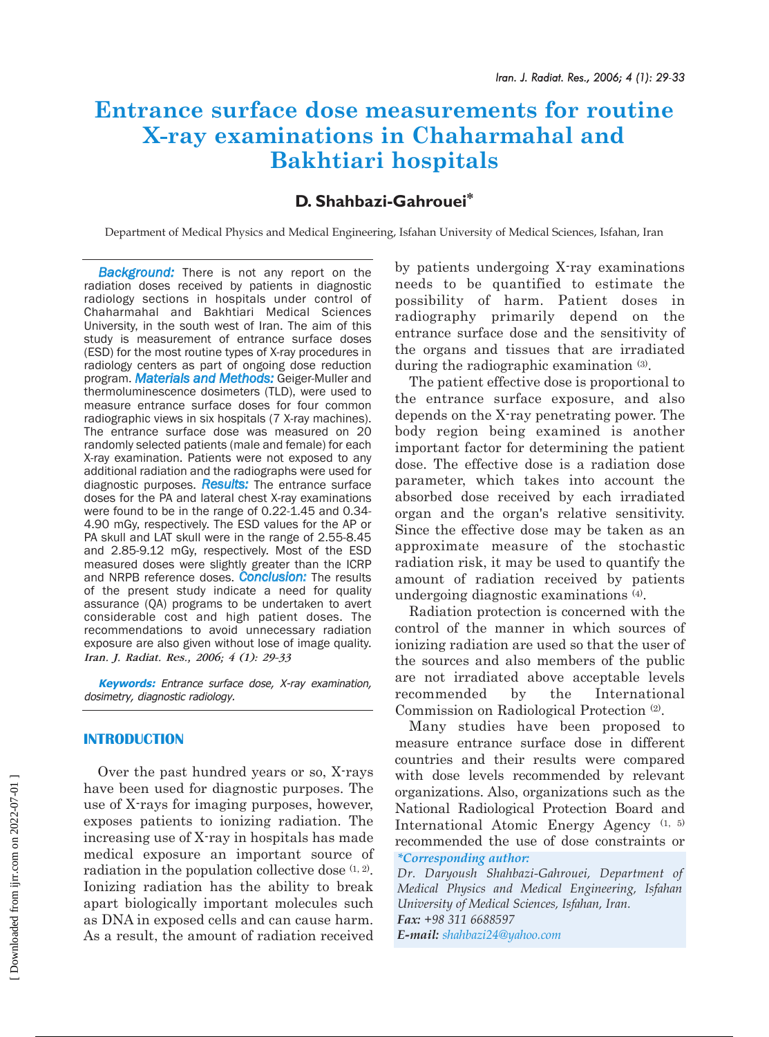# **Entrance surface dose measurements for routine X-ray examinations in Chaharmahal and Bakhtiari hospitals**

# **D. Shahbazi-Gahrouei\***

Department of Medical Physics and Medical Engineering, Isfahan University of Medical Sciences, Isfahan, Iran

**Background:** There is not any report on the radiation doses received by patients in diagnostic radiology sections in hospitals under control of Chaharmahal and Bakhtiari Medical Sciences University, in the south west of Iran. The aim of this study is measurement of entrance surface doses (ESD) for the most routine types of X-ray procedures in radiology centers as part of ongoing dose reduction program. *Materials and Methods:* Geiger-Muller and thermoluminescence dosimeters (TLD), were used to measure entrance surface doses for four common radiographic views in six hospitals (7 X-ray machines). The entrance surface dose was measured on 20 randomly selected patients (male and female) for each X-ray examination. Patients were not exposed to any additional radiation and the radiographs were used for diagnostic purposes. *Results:* The entrance surface doses for the PA and lateral chest X-ray examinations were found to be in the range of 0.22-1.45 and 0.34- 4.90 mGy, respectively. The ESD values for the AP or PA skull and LAT skull were in the range of 2.55-8.45 and 2.85-9.12 mGy, respectively. Most of the ESD measured doses were slightly greater than the ICRP and NRPB reference doses. *Conclusion:* The results of the present study indicate a need for quality assurance (QA) programs to be undertaken to avert considerable cost and high patient doses. The recommendations to avoid unnecessary radiation exposure are also given without lose of image quality. *Iran. J. Radiat. Res., 2006; 4 (1): 29-33*

**Keywords:** Entrance surface dose, X-ray examination, dosimetry, diagnostic radiology.

# **INTRODUCTION**

Over the past hundred years or so, X-rays have been used for diagnostic purposes. The use of X-rays for imaging purposes, however, exposes patients to ionizing radiation. The increasing use of X-ray in hospitals has made medical exposure an important source of radiation in the population collective dose  $(1, 2)$ . Ionizing radiation has the ability to break apart biologically important molecules such as DNA in exposed cells and can cause harm. As a result, the amount of radiation received

by patients undergoing X-ray examinations needs to be quantified to estimate the possibility of harm. Patient doses in radiography primarily depend on the entrance surface dose and the sensitivity of the organs and tissues that are irradiated during the radiographic examination (3).

The patient effective dose is proportional to the entrance surface exposure, and also depends on the X-ray penetrating power. The body region being examined is another important factor for determining the patient dose. The effective dose is a radiation dose parameter, which takes into account the absorbed dose received by each irradiated organ and the organ's relative sensitivity. Since the effective dose may be taken as an approximate measure of the stochastic radiation risk, it may be used to quantify the amount of radiation received by patients undergoing diagnostic examinations (4).

Radiation protection is concerned with the control of the manner in which sources of ionizing radiation are used so that the user of the sources and also members of the public are not irradiated above acceptable levels recommended by the International Commission on Radiological Protection (2).

Many studies have been proposed to measure entrance surface dose in different countries and their results were compared with dose levels recommended by relevant organizations. Also, organizations such as the National Radiological Protection Board and International Atomic Energy Agency (1, 5) recommended the use of dose constraints or *\*Corresponding author:*

*Dr. Daryoush Shahbazi-Gahrouei, Department of Medical Physics and Medical Engineering, Isfahan University of Medical Sciences, Isfahan, Iran. Fax: +98 311 6688597* 

*E-mail: shahbazi24@yahoo.com*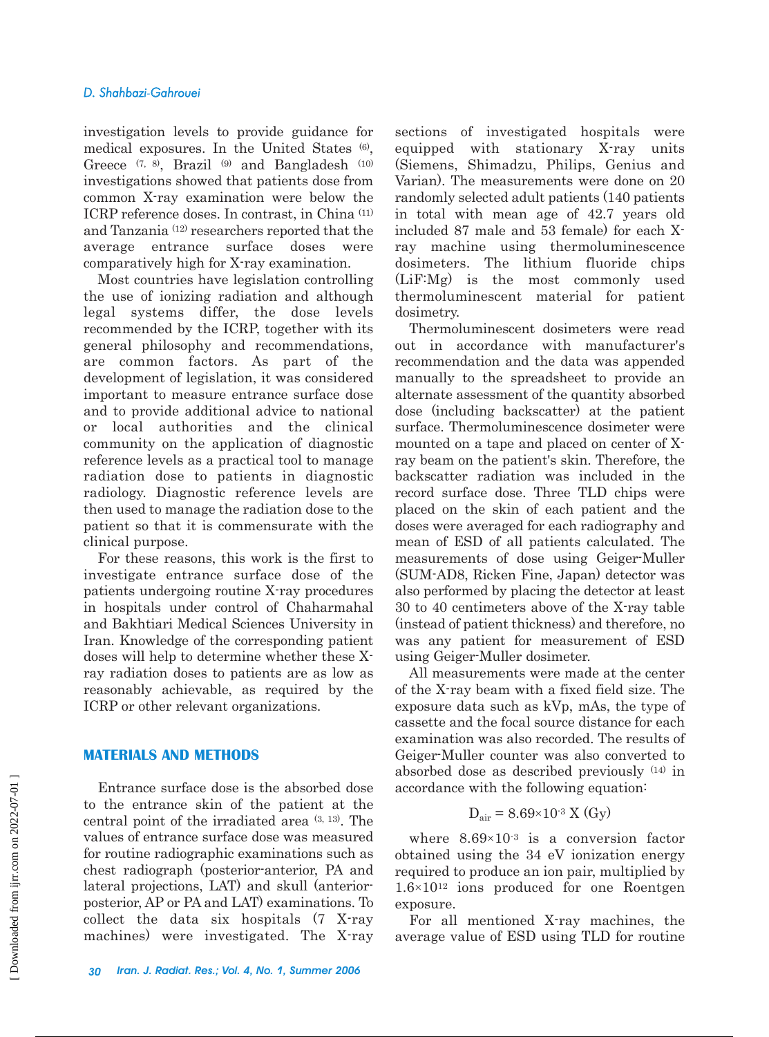investigation levels to provide guidance for medical exposures. In the United States (6), Greece  $(7, 8)$ , Brazil  $(9)$  and Bangladesh  $(10)$ investigations showed that patients dose from common X-ray examination were below the ICRP reference doses. In contrast, in China (11) and Tanzania (12) researchers reported that the average entrance surface doses were comparatively high for X-ray examination.

Most countries have legislation controlling the use of ionizing radiation and although legal systems differ, the dose levels recommended by the ICRP, together with its general philosophy and recommendations, are common factors. As part of the development of legislation, it was considered important to measure entrance surface dose and to provide additional advice to national or local authorities and the clinical community on the application of diagnostic reference levels as a practical tool to manage radiation dose to patients in diagnostic radiology. Diagnostic reference levels are then used to manage the radiation dose to the patient so that it is commensurate with the clinical purpose.

For these reasons, this work is the first to investigate entrance surface dose of the patients undergoing routine X-ray procedures in hospitals under control of Chaharmahal and Bakhtiari Medical Sciences University in Iran. Knowledge of the corresponding patient doses will help to determine whether these Xray radiation doses to patients are as low as reasonably achievable, as required by the ICRP or other relevant organizations.

#### **MATERIALS AND METHODS**

Entrance surface dose is the absorbed dose to the entrance skin of the patient at the central point of the irradiated area (3, 13). The values of entrance surface dose was measured for routine radiographic examinations such as chest radiograph (posterior-anterior, PA and lateral projections, LAT) and skull (anteriorposterior, AP or PA and LAT) examinations. To collect the data six hospitals (7 X-ray machines) were investigated. The X-ray

sections of investigated hospitals were equipped with stationary X-ray units (Siemens, Shimadzu, Philips, Genius and Varian). The measurements were done on 20 randomly selected adult patients (140 patients in total with mean age of 42.7 years old included 87 male and 53 female) for each Xray machine using thermoluminescence dosimeters. The lithium fluoride chips (LiF:Mg) is the most commonly used thermoluminescent material for patient dosimetry.

Thermoluminescent dosimeters were read out in accordance with manufacturer's recommendation and the data was appended manually to the spreadsheet to provide an alternate assessment of the quantity absorbed dose (including backscatter) at the patient surface. Thermoluminescence dosimeter were mounted on a tape and placed on center of Xray beam on the patient's skin. Therefore, the backscatter radiation was included in the record surface dose. Three TLD chips were placed on the skin of each patient and the doses were averaged for each radiography and mean of ESD of all patients calculated. The measurements of dose using Geiger-Muller (SUM-AD8, Ricken Fine, Japan) detector was also performed by placing the detector at least 30 to 40 centimeters above of the X-ray table (instead of patient thickness) and therefore, no was any patient for measurement of ESD using Geiger-Muller dosimeter.

All measurements were made at the center of the X-ray beam with a fixed field size. The exposure data such as kVp, mAs, the type of cassette and the focal source distance for each examination was also recorded. The results of Geiger-Muller counter was also converted to absorbed dose as described previously (14) in accordance with the following equation:

$$
D_{\text{air}} = 8.69 \times 10^{-3} \text{ X (Gy)}
$$

where  $8.69 \times 10^{-3}$  is a conversion factor obtained using the 34 eV ionization energy required to produce an ion pair, multiplied by  $1.6 \times 10^{12}$  ions produced for one Roentgen exposure.

For all mentioned X-ray machines, the average value of ESD using TLD for routine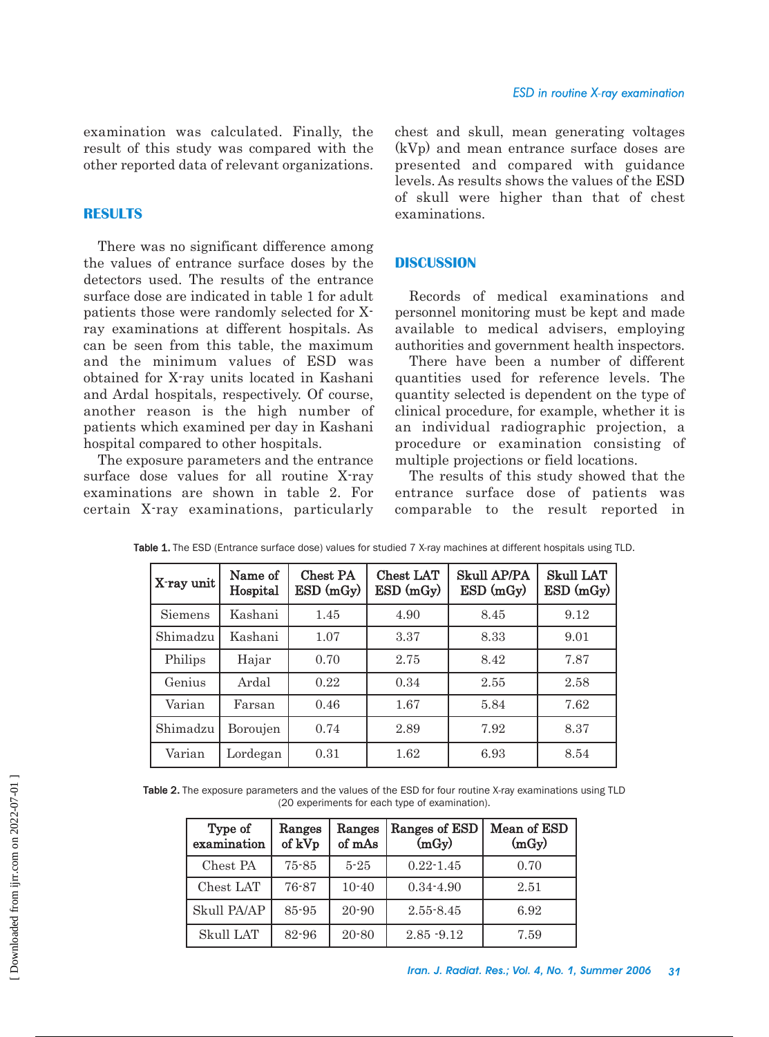examination was calculated. Finally, the result of this study was compared with the other reported data of relevant organizations.

# **RESULTS**

There was no significant difference among the values of entrance surface doses by the detectors used. The results of the entrance surface dose are indicated in table 1 for adult patients those were randomly selected for Xray examinations at different hospitals. As can be seen from this table, the maximum and the minimum values of ESD was obtained for X-ray units located in Kashani and Ardal hospitals, respectively. Of course, another reason is the high number of patients which examined per day in Kashani hospital compared to other hospitals.

The exposure parameters and the entrance surface dose values for all routine X-ray examinations are shown in table 2. For certain X-ray examinations, particularly chest and skull, mean generating voltages (kVp) and mean entrance surface doses are presented and compared with guidance levels. As results shows the values of the ESD of skull were higher than that of chest examinations.

# **DISCUSSION**

Records of medical examinations and personnel monitoring must be kept and made available to medical advisers, employing authorities and government health inspectors.

There have been a number of different quantities used for reference levels. The quantity selected is dependent on the type of clinical procedure, for example, whether it is an individual radiographic projection, a procedure or examination consisting of multiple projections or field locations.

The results of this study showed that the entrance surface dose of patients was comparable to the result reported in

| X-ray unit | Name of<br>Hospital | Chest PA<br>ESD(mGy) | Chest LAT<br>ESD(mGy) | <b>Skull AP/PA</b><br>ESD(mGy) | <b>Skull LAT</b><br>$ESD$ (mGy) |
|------------|---------------------|----------------------|-----------------------|--------------------------------|---------------------------------|
| Siemens    | Kashani             | 1.45                 | 4.90                  | 8.45                           | 9.12                            |
| Shimadzu   | Kashani             | 1.07                 | 3.37                  | 8.33                           | 9.01                            |
| Philips    | Hajar               | 0.70                 | 2.75                  | 8.42                           | 7.87                            |
| Genius     | Ardal               | 0.22                 | 0.34                  | 2.55                           | 2.58                            |
| Varian     | Farsan              | 0.46                 | 1.67                  | 5.84                           | 7.62                            |
| Shimadzu   | Boroujen            | 0.74                 | 2.89                  | 7.92                           | 8.37                            |
| Varian     | Lordegan            | 0.31                 | 1.62                  | 6.93                           | 8.54                            |

Table 1. The ESD (Entrance surface dose) values for studied 7 X-ray machines at different hospitals using TLD.

Table 2. The exposure parameters and the values of the ESD for four routine X-ray examinations using TLD (20 experiments for each type of examination).

| Type of<br>examination | Ranges<br>of kVp | Ranges<br>of mAs | Ranges of ESD<br>(mGy) | Mean of ESD<br>(mGy) |  |
|------------------------|------------------|------------------|------------------------|----------------------|--|
| Chest PA               | $75 - 85$        | $5 - 25$         | $0.22 - 1.45$          | 0.70                 |  |
| Chest LAT              | 76-87            | $10 - 40$        | $0.34 - 4.90$          | 2.51                 |  |
| Skull PA/AP            | 85-95            | $20 - 90$        | $2.55 - 8.45$          | 6.92                 |  |
| Skull LAT              | 82-96            | $20 - 80$        | $2.85 - 9.12$          | 7.59                 |  |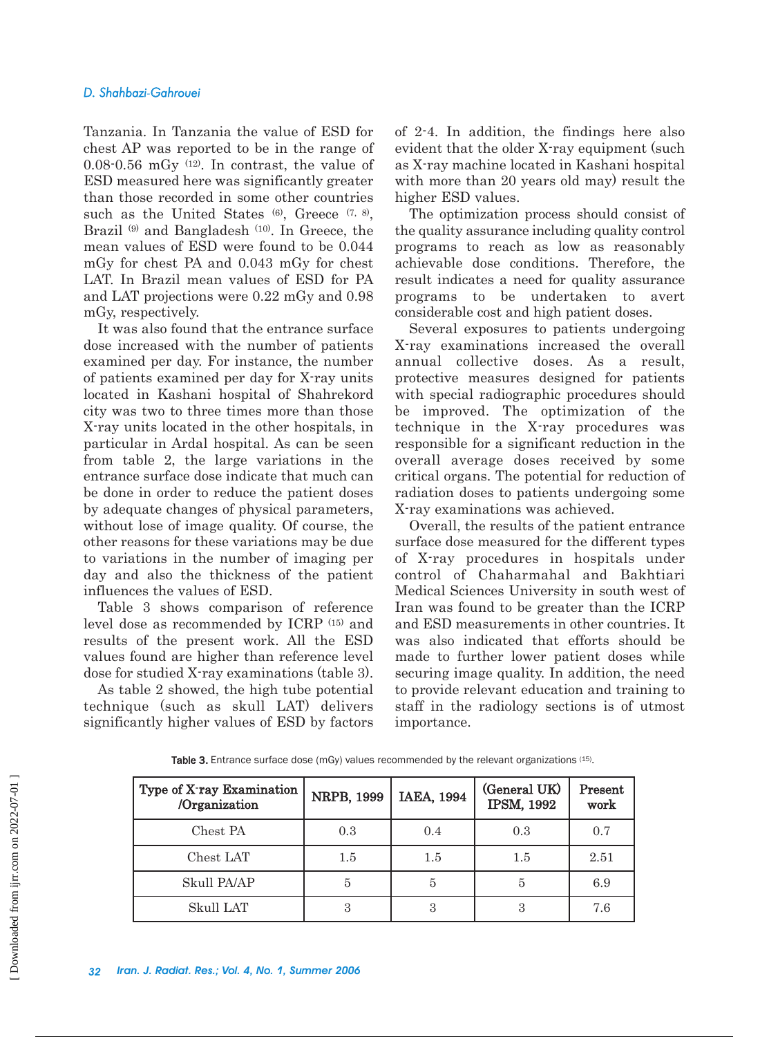### *D. Shahbazi-Gahrouei*

Tanzania. In Tanzania the value of ESD for chest AP was reported to be in the range of  $0.08-0.56$  mGy  $(12)$ . In contrast, the value of ESD measured here was significantly greater than those recorded in some other countries such as the United States  $(6)$ , Greece  $(7, 8)$ , Brazil<sup>(9)</sup> and Bangladesh<sup>(10)</sup>. In Greece, the mean values of ESD were found to be 0.044 mGy for chest PA and 0.043 mGy for chest LAT. In Brazil mean values of ESD for PA and LAT projections were 0.22 mGy and 0.98 mGy, respectively.

It was also found that the entrance surface dose increased with the number of patients examined per day. For instance, the number of patients examined per day for X-ray units located in Kashani hospital of Shahrekord city was two to three times more than those X-ray units located in the other hospitals, in particular in Ardal hospital. As can be seen from table 2, the large variations in the entrance surface dose indicate that much can be done in order to reduce the patient doses by adequate changes of physical parameters, without lose of image quality. Of course, the other reasons for these variations may be due to variations in the number of imaging per day and also the thickness of the patient influences the values of ESD.

Table 3 shows comparison of reference level dose as recommended by ICRP (15) and results of the present work. All the ESD values found are higher than reference level dose for studied X-ray examinations (table 3).

As table 2 showed, the high tube potential technique (such as skull LAT) delivers significantly higher values of ESD by factors of 2-4. In addition, the findings here also evident that the older X-ray equipment (such as X-ray machine located in Kashani hospital with more than 20 years old may) result the higher ESD values.

The optimization process should consist of the quality assurance including quality control programs to reach as low as reasonably achievable dose conditions. Therefore, the result indicates a need for quality assurance programs to be undertaken to avert considerable cost and high patient doses.

Several exposures to patients undergoing X-ray examinations increased the overall annual collective doses. As a result, protective measures designed for patients with special radiographic procedures should be improved. The optimization of the technique in the X-ray procedures was responsible for a significant reduction in the overall average doses received by some critical organs. The potential for reduction of radiation doses to patients undergoing some X-ray examinations was achieved.

Overall, the results of the patient entrance surface dose measured for the different types of X-ray procedures in hospitals under control of Chaharmahal and Bakhtiari Medical Sciences University in south west of Iran was found to be greater than the ICRP and ESD measurements in other countries. It was also indicated that efforts should be made to further lower patient doses while securing image quality. In addition, the need to provide relevant education and training to staff in the radiology sections is of utmost importance.

| Type of X-ray Examination<br>/Organization | NRPB, 1999 | IAEA, 1994 | (General UK)<br><b>IPSM, 1992</b> | Present<br>work |
|--------------------------------------------|------------|------------|-----------------------------------|-----------------|
| Chest PA                                   | 0.3        | 0.4        | 0.3                               | 0.7             |
| Chest LAT                                  | $1.5\,$    | 1.5        | $1.5\,$                           | 2.51            |
| Skull PA/AP                                | 5          | 5          |                                   | 6.9             |
| Skull LAT                                  | 3          | 3          | З                                 | 7.6             |

Table 3. Entrance surface dose (mGy) values recommended by the relevant organizations (15).